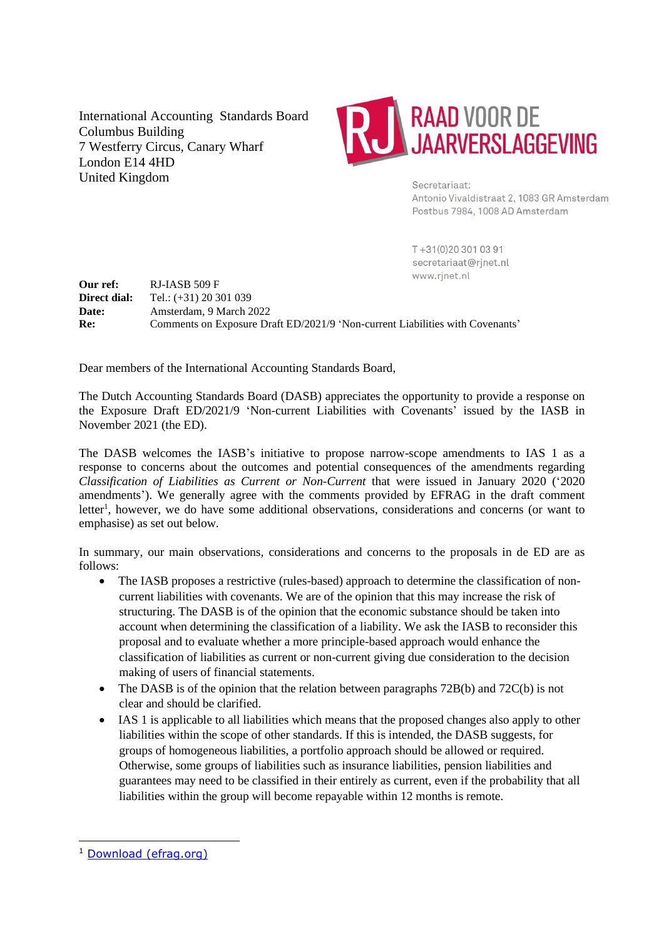International Accounting Standards Board Columbus Building 7 Westferry Circus, Canary Wharf London E14 4HD United Kingdom



Secretariaat: Antonio Vivaldistraat 2, 1083 GR Amsterdam Postbus 7984, 1008 AD Amsterdam

T+31(0)203010391 secretariaat@rjnet.nl www.rjnet.nl

**Our ref:** RJ-IASB 509 F **Direct dial:** Tel.: (+31) 20 301 039 **Date:** Amsterdam, 9 March 2022 **Re:** Comments on Exposure Draft ED/2021/9 'Non-current Liabilities with Covenants'

Dear members of the International Accounting Standards Board,

The Dutch Accounting Standards Board (DASB) appreciates the opportunity to provide a response on the Exposure Draft ED/2021/9 'Non-current Liabilities with Covenants' issued by the IASB in November 2021 (the ED).

The DASB welcomes the IASB's initiative to propose narrow-scope amendments to IAS 1 as a response to concerns about the outcomes and potential consequences of the amendments regarding *Classification of Liabilities as Current or Non-Current* that were issued in January 2020 ('2020 amendments'). We generally agree with the comments provided by EFRAG in the draft comment letter<sup>1</sup>, however, we do have some additional observations, considerations and concerns (or want to emphasise) as set out below.

In summary, our main observations, considerations and concerns to the proposals in de ED are as follows:

- The IASB proposes a restrictive (rules-based) approach to determine the classification of noncurrent liabilities with covenants. We are of the opinion that this may increase the risk of structuring. The DASB is of the opinion that the economic substance should be taken into account when determining the classification of a liability. We ask the IASB to reconsider this proposal and to evaluate whether a more principle-based approach would enhance the classification of liabilities as current or non-current giving due consideration to the decision making of users of financial statements.
- The DASB is of the opinion that the relation between paragraphs 72B(b) and 72C(b) is not clear and should be clarified.
- IAS 1 is applicable to all liabilities which means that the proposed changes also apply to other liabilities within the scope of other standards. If this is intended, the DASB suggests, for groups of homogeneous liabilities, a portfolio approach should be allowed or required. Otherwise, some groups of liabilities such as insurance liabilities, pension liabilities and guarantees may need to be classified in their entirely as current, even if the probability that all liabilities within the group will become repayable within 12 months is remote.

<sup>1</sup> [Download \(efrag.org\)](https://www.efrag.org/Assets/Download?assetUrl=%2Fsites%2Fwebpublishing%2FSiteAssets%2FDraft%2520Comment%2520letter%2520ED-2021-9.pdf)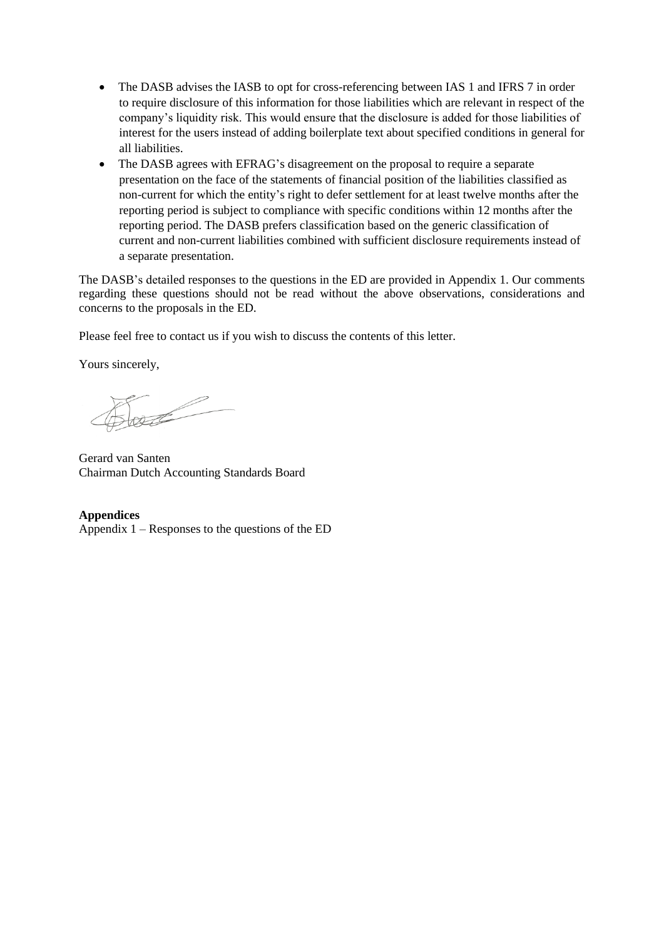- The DASB advises the IASB to opt for cross-referencing between IAS 1 and IFRS 7 in order to require disclosure of this information for those liabilities which are relevant in respect of the company's liquidity risk. This would ensure that the disclosure is added for those liabilities of interest for the users instead of adding boilerplate text about specified conditions in general for all liabilities.
- The DASB agrees with EFRAG's disagreement on the proposal to require a separate presentation on the face of the statements of financial position of the liabilities classified as non-current for which the entity's right to defer settlement for at least twelve months after the reporting period is subject to compliance with specific conditions within 12 months after the reporting period. The DASB prefers classification based on the generic classification of current and non-current liabilities combined with sufficient disclosure requirements instead of a separate presentation.

The DASB's detailed responses to the questions in the ED are provided in Appendix 1. Our comments regarding these questions should not be read without the above observations, considerations and concerns to the proposals in the ED.

Please feel free to contact us if you wish to discuss the contents of this letter.

Yours sincerely,

Gerard van Santen Chairman Dutch Accounting Standards Board

**Appendices** Appendix 1 – Responses to the questions of the ED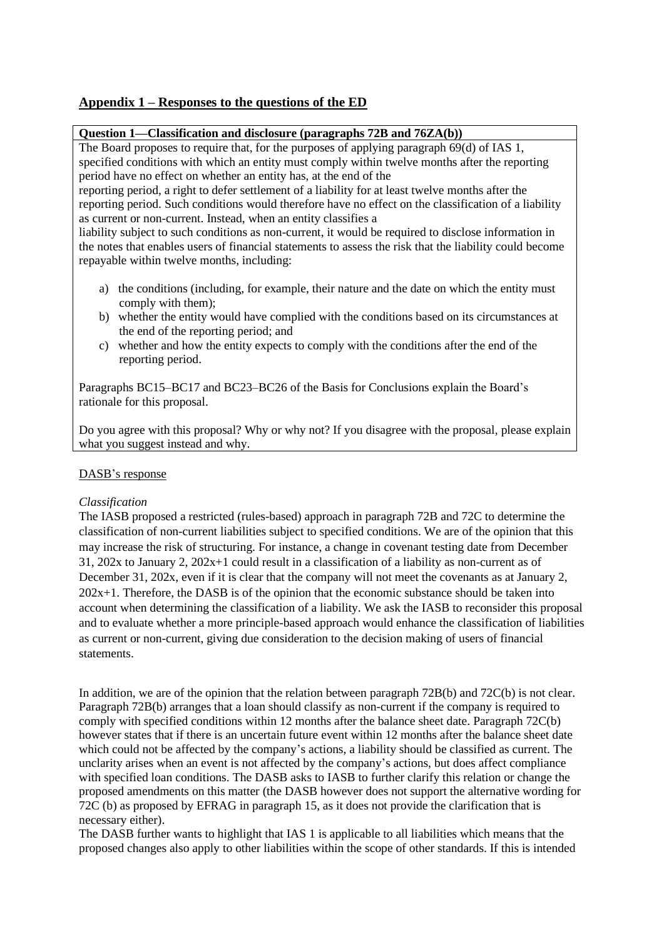# **Appendix 1 – Responses to the questions of the ED**

## **Question 1—Classification and disclosure (paragraphs 72B and 76ZA(b))**

The Board proposes to require that, for the purposes of applying paragraph 69(d) of IAS 1, specified conditions with which an entity must comply within twelve months after the reporting period have no effect on whether an entity has, at the end of the

reporting period, a right to defer settlement of a liability for at least twelve months after the reporting period. Such conditions would therefore have no effect on the classification of a liability as current or non-current. Instead, when an entity classifies a

liability subject to such conditions as non-current, it would be required to disclose information in the notes that enables users of financial statements to assess the risk that the liability could become repayable within twelve months, including:

- a) the conditions (including, for example, their nature and the date on which the entity must comply with them);
- b) whether the entity would have complied with the conditions based on its circumstances at the end of the reporting period; and
- c) whether and how the entity expects to comply with the conditions after the end of the reporting period.

Paragraphs BC15–BC17 and BC23–BC26 of the Basis for Conclusions explain the Board's rationale for this proposal.

Do you agree with this proposal? Why or why not? If you disagree with the proposal, please explain what you suggest instead and why.

### DASB's response

### *Classification*

The IASB proposed a restricted (rules-based) approach in paragraph 72B and 72C to determine the classification of non-current liabilities subject to specified conditions. We are of the opinion that this may increase the risk of structuring. For instance, a change in covenant testing date from December  $31, 202x$  to January 2,  $202x+1$  could result in a classification of a liability as non-current as of December 31, 202x, even if it is clear that the company will not meet the covenants as at January 2,  $202x+1$ . Therefore, the DASB is of the opinion that the economic substance should be taken into account when determining the classification of a liability. We ask the IASB to reconsider this proposal and to evaluate whether a more principle-based approach would enhance the classification of liabilities as current or non-current, giving due consideration to the decision making of users of financial statements.

In addition, we are of the opinion that the relation between paragraph 72B(b) and 72C(b) is not clear. Paragraph 72B(b) arranges that a loan should classify as non-current if the company is required to comply with specified conditions within 12 months after the balance sheet date. Paragraph 72C(b) however states that if there is an uncertain future event within 12 months after the balance sheet date which could not be affected by the company's actions, a liability should be classified as current. The unclarity arises when an event is not affected by the company's actions, but does affect compliance with specified loan conditions. The DASB asks to IASB to further clarify this relation or change the proposed amendments on this matter (the DASB however does not support the alternative wording for 72C (b) as proposed by EFRAG in paragraph 15, as it does not provide the clarification that is necessary either).

The DASB further wants to highlight that IAS 1 is applicable to all liabilities which means that the proposed changes also apply to other liabilities within the scope of other standards. If this is intended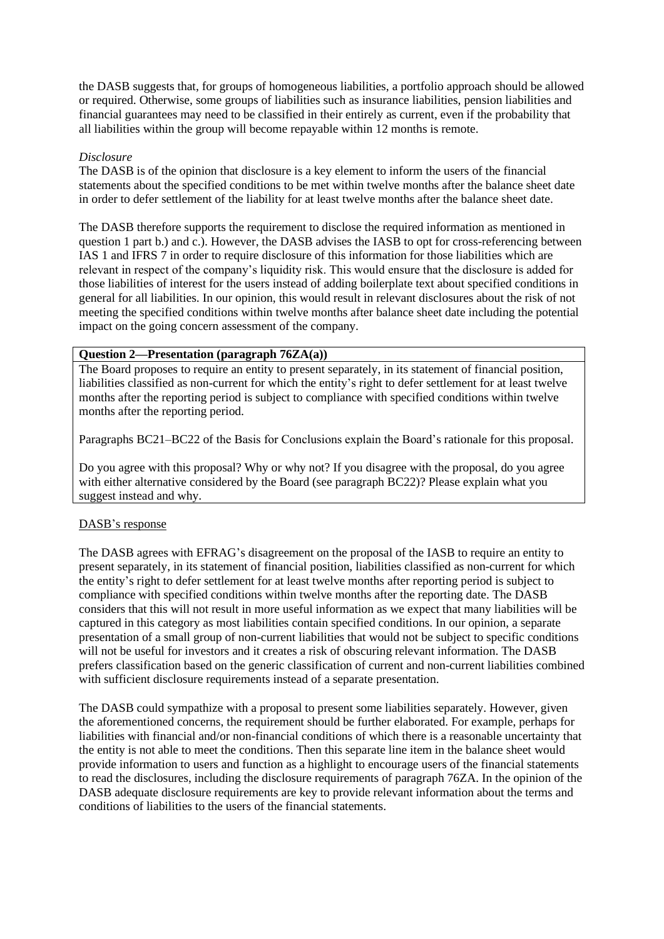the DASB suggests that, for groups of homogeneous liabilities, a portfolio approach should be allowed or required. Otherwise, some groups of liabilities such as insurance liabilities, pension liabilities and financial guarantees may need to be classified in their entirely as current, even if the probability that all liabilities within the group will become repayable within 12 months is remote.

# *Disclosure*

The DASB is of the opinion that disclosure is a key element to inform the users of the financial statements about the specified conditions to be met within twelve months after the balance sheet date in order to defer settlement of the liability for at least twelve months after the balance sheet date.

The DASB therefore supports the requirement to disclose the required information as mentioned in question 1 part b.) and c.). However, the DASB advises the IASB to opt for cross-referencing between IAS 1 and IFRS 7 in order to require disclosure of this information for those liabilities which are relevant in respect of the company's liquidity risk. This would ensure that the disclosure is added for those liabilities of interest for the users instead of adding boilerplate text about specified conditions in general for all liabilities. In our opinion, this would result in relevant disclosures about the risk of not meeting the specified conditions within twelve months after balance sheet date including the potential impact on the going concern assessment of the company.

# **Question 2—Presentation (paragraph 76ZA(a))**

The Board proposes to require an entity to present separately, in its statement of financial position, liabilities classified as non-current for which the entity's right to defer settlement for at least twelve months after the reporting period is subject to compliance with specified conditions within twelve months after the reporting period.

Paragraphs BC21–BC22 of the Basis for Conclusions explain the Board's rationale for this proposal.

Do you agree with this proposal? Why or why not? If you disagree with the proposal, do you agree with either alternative considered by the Board (see paragraph BC22)? Please explain what you suggest instead and why.

# DASB's response

The DASB agrees with EFRAG's disagreement on the proposal of the IASB to require an entity to present separately, in its statement of financial position, liabilities classified as non-current for which the entity's right to defer settlement for at least twelve months after reporting period is subject to compliance with specified conditions within twelve months after the reporting date. The DASB considers that this will not result in more useful information as we expect that many liabilities will be captured in this category as most liabilities contain specified conditions. In our opinion, a separate presentation of a small group of non-current liabilities that would not be subject to specific conditions will not be useful for investors and it creates a risk of obscuring relevant information. The DASB prefers classification based on the generic classification of current and non-current liabilities combined with sufficient disclosure requirements instead of a separate presentation.

The DASB could sympathize with a proposal to present some liabilities separately. However, given the aforementioned concerns, the requirement should be further elaborated. For example, perhaps for liabilities with financial and/or non-financial conditions of which there is a reasonable uncertainty that the entity is not able to meet the conditions. Then this separate line item in the balance sheet would provide information to users and function as a highlight to encourage users of the financial statements to read the disclosures, including the disclosure requirements of paragraph 76ZA. In the opinion of the DASB adequate disclosure requirements are key to provide relevant information about the terms and conditions of liabilities to the users of the financial statements.